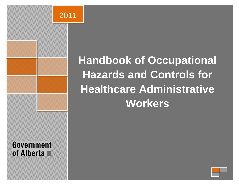

# **Handbook of Occupational Hazards and Controls for Healthcare Administrative Workers**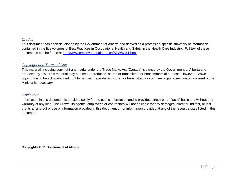# *Credits*

This document has been developed by the Government of Alberta and derived as a profession-specific summary of information contained in the five volumes of Best Practices in Occupational Health and Safety in the Health Care Industry. Full text of these documents can be found at<http://www.employment.alberta.ca/SFW/6311.html>

# *Copyright and Terms of Use*

This material, including copyright and marks under the Trade Marks Act (Canada) is owned by the Government of Alberta and protected by law. This material may be used, reproduced, stored or transmitted for noncommercial purpose. However, Crown copyright is to be acknowledged. If it to be used, reproduced, stored or transmitted for commercial purposes, written consent of the Minister is necessary.

#### *Disclaimer*

Information in this document is provided solely for the user's information and is provided strictly on an "as is" basis and without any warranty of any kind. The Crown, its agents, employees or contractors will not be liable for any damages, direct or indirect, or lost profits arising out of use of information provided in this document or for information provided at any of the resource sites listed in this document.

**Copyright© 2011 Government of Alberta**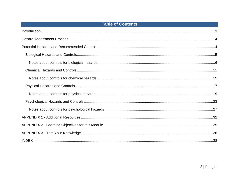# **Table of Contents**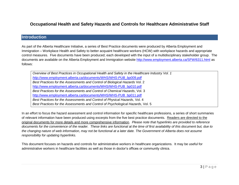# **Occupational Health and Safety Hazards and Controls for Healthcare Administrative Staff**

# **Introduction**

As part of the Alberta Healthcare Initiative, a series of Best Practice documents were produced by Alberta Employment and Immigration – Workplace Health and Safety to better acquaint healthcare workers (HCW) with workplace hazards and appropriate control measures. Five documents have been produced; each developed with the input of a multidisciplinary stakeholder group. The documents are available on the Alberta Employment and Immigration website<http://www.employment.alberta.ca/SFW/6311.html> as follows:

*Overview of Best Practices in Occupational Health and Safety in the Healthcare Industry Vol. 1 [http://www.employment.alberta.ca/documents/WHS/WHS-PUB\\_bp009.pdf](http://www.employment.alberta.ca/documents/WHS/WHS-PUB_bp009.pdf) Best Practices for the Assessments and Control of Biological Hazards* Vol. 2 [http://www.employment.alberta.ca/documents/WHS/WHS-PUB\\_bp010.pdf](http://www.employment.alberta.ca/documents/WHS/WHS-PUB_bp010.pdf) *Best Practices for the Assessments and Control of Chemical Hazards*, Vol. 3 [http://www.employment.alberta.ca/documents/WHS/WHS-PUB\\_bp011.pdf](http://www.employment.alberta.ca/documents/WHS/WHS-PUB_bp011.pdf) *Best Practices for the Assessments and Control of Physical Hazards*, Vol. 4 *Best Practices for the Assessments and Control of Psychological Hazards*, Vol. 5

In an effort to focus the hazard assessment and control information for specific healthcare professions, a series of short summaries of relevant information have been produced using excerpts from the five best practice documents. Readers are directed to the original documents for more details and more comprehensive information. *Please note that hyperlinks are provided to reference documents for the convenience of the reader. These links are functional at the time of first availability of this document but, due to the changing nature of web information, may not be functional at a later date. The Government of Alberta does not assume responsibility for updating hyperlinks.*

This document focuses on hazards and controls for administrative workers in healthcare organizations. It may be useful for administrative workers in healthcare facilities as well as those in doctor's offices or community clinics.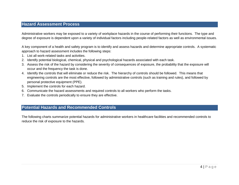# **Hazard Assessment Process**

Administrative workers may be exposed to a variety of workplace hazards in the course of performing their functions. The type and degree of exposure is dependent upon a variety of individual factors including people-related factors as well as environmental issues.

A key component of a health and safety program is to identify and assess hazards and determine appropriate controls. A systematic approach to hazard assessment includes the following steps:

- 1. List all work-related tasks and activities.
- 2. Identify potential biological, chemical, physical and psychological hazards associated with each task.
- 3. Assess the risk of the hazard by considering the severity of consequences of exposure, the probability that the exposure will occur and the frequency the task is done.
- 4. Identify the controls that will eliminate or reduce the risk. The hierarchy of controls should be followed. This means that engineering controls are the most effective, followed by administrative controls (such as training and rules), and followed by personal protective equipment (PPE).
- 5. Implement the controls for each hazard.
- 6. Communicate the hazard assessments and required controls to all workers who perform the tasks.
- 7. Evaluate the controls periodically to ensure they are effective.

# **Potential Hazards and Recommended Controls**

The following charts summarize potential hazards for administrative workers in healthcare facilities and recommended controls to reduce the risk of exposure to the hazards.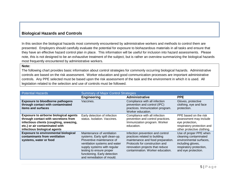# **Biological Hazards and Controls**

In this section the biological hazards most commonly encountered by administrative workers and methods to control them are presented. Employers should carefully evaluate the potential for exposure to biohazardous materials in all tasks and ensure that they have an effective hazard control plan in place. This information will be useful for inclusion into hazard assessments. Please note, this is not designed to be an exhaustive treatment of the subject, but is rather an overview summarizing the biological hazards most frequently encountered by administrative workers.

#### **Note:**

The following chart provides basic information about control strategies for commonly occurring biological hazards. Administrative controls are based on the risk assessment. Worker education and good communication processes are important administrative controls. Any PPE selected must be based upon the risk assessment of the task and the environment in which it is used. All legislation related to the selection and use of controls must be followed.

| <b>Potential Hazards</b>                                                                                                                                                                           | <b>Summary of Major Control Strategies</b>                                                                                                                                                                                                         |                                                                                                                                                                                                                 |                                                                                                                                                   |
|----------------------------------------------------------------------------------------------------------------------------------------------------------------------------------------------------|----------------------------------------------------------------------------------------------------------------------------------------------------------------------------------------------------------------------------------------------------|-----------------------------------------------------------------------------------------------------------------------------------------------------------------------------------------------------------------|---------------------------------------------------------------------------------------------------------------------------------------------------|
|                                                                                                                                                                                                    | <b>Engineering</b>                                                                                                                                                                                                                                 | <b>Administrative</b>                                                                                                                                                                                           | <b>PPE</b>                                                                                                                                        |
| <b>Exposure to bloodborne pathogens</b><br>through contact with contaminated<br><b>items and surfaces</b>                                                                                          | Vaccines.                                                                                                                                                                                                                                          | Compliance with all infection<br>prevention and control (IPC)<br>practices. Immunization program.<br>Worker education.                                                                                          | Gloves, protective<br>clothing, eye and face<br>protection.                                                                                       |
| <b>Exposure to airborne biological agents</b><br>through contact with secretions from<br>infectious clients (coughing, sneezing,<br>etc.) or air contaminated with<br>infectious biological agents | Early detection of infection<br>status, Isolation, Vaccines.                                                                                                                                                                                       | Compliance with all infection<br>prevention and control practices.<br>Immunization program. Worker<br>education.                                                                                                | PPE based on the risk<br>assessment may include<br>eye protection,<br>respiratory protection and<br>other protective clothing.                    |
| <b>Exposure to environmental biological</b><br>contaminants from ventilation<br>systems, water or food                                                                                             | Maintenance of ventilation<br>systems. Early spill clean-up.<br>Preventive maintenance of<br>ventilation systems and water<br>supply systems with regular<br>testing to ensure proper<br>functioning. Early detection<br>and remediation of mould. | Infection prevention and control<br>practices related to building<br>maintenance and food preparation.<br>Protocols for construction and<br>renovation projects that reduce<br>contamination. Worker education. | Use of proper PPE when<br>cleaning contaminated<br>environmental surfaces,<br>including gloves,<br>respiratory protection,<br>and eye protection. |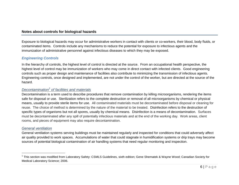# **Notes about controls for biological hazards**

Exposure to biological hazards may occur for administrative workers in contact with clients or co-workers, their blood, body fluids, or contaminated items. Controls include any mechanisms to reduce the potential for exposure to infectious agents and the immunization of administrative personnel against infectious diseases to which they may be exposed.

# *Engineering Controls*

In the hierarchy of controls, the highest level of control is directed at the source. From an occupational health perspective, the highest level of control may be immunization of workers who may come in direct contact with infected clients. Good engineering controls such as proper design and maintenance of facilities also contribute to minimizing the transmission of infectious agents. Engineering controls, once designed and implemented, are not under the control of the worker, but are directed at the source of the hazard.

# *Decontamination<sup>1</sup> of facilities and materials*

Decontamination is a term used to describe procedures that remove contamination by killing microorganisms, rendering the items safe for disposal or use. Sterilization refers to the complete destruction or removal of all microorganisms by chemical or physical means, usually to provide sterile items for use. All contaminated materials must be decontaminated before disposal or cleaning for reuse. The choice of method is determined by the nature of the material to be treated. Disinfection refers to the destruction of specific types of organisms but not all spores, usually by chemical means. Disinfection is a means of decontamination. Surfaces must be decontaminated after any spill of potentially infectious materials and at the end of the working day. Work areas, client rooms, and pieces of equipment may also require decontamination.

#### *General ventilation*

General ventilation systems serving buildings must be maintained regularly and inspected for conditions that could adversely affect air quality provided to work spaces. Accumulations of water that could stagnate in humidification systems or drip trays may become sources of potential biological contamination of air handling systems that need regular monitoring and inspection.

<sup>&</sup>lt;sup>1</sup> This section was modified from Laboratory Safety: CSMLS Guidelines, sixth edition; Gene Shematek & Wayne Wood; Canadian Society for Medical Laboratory Science; 2006.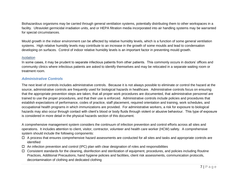Biohazardous organisms may be carried through general ventilation systems, potentially distributing them to other workspaces in a facility. Ultraviolet germicidal irradiation units, and or HEPA filtration media incorporated into air handling systems may be warranted for special circumstances.

Mould growth in the indoor environment can be affected by relative humidity levels, which is a function of some general ventilation systems. High relative humidity levels may contribute to an increase in the growth of some moulds and lead to condensation developing on surfaces. Control of indoor relative humidity levels is an important factor in preventing mould growth.

#### *Isolation*

In some cases, it may be prudent to separate infectious patients from other patients. This commonly occurs in doctors' offices and community clinics where infectious patients are asked to identify themselves and may be relocated in a separate waiting room or treatment room.

#### *Administrative Controls*

The next level of controls includes administrative controls. Because it is not always possible to eliminate or control the hazard at the source, administrative controls are frequently used for biological hazards in healthcare. Administrative controls focus on ensuring that the appropriate prevention steps are taken, that all proper work procedures are documented, that administrative personnel are trained to use the proper procedures, and that their use is enforced. Administrative controls include policies and procedures that establish expectations of performance, codes of practice, staff placement, required orientation and training, work schedules, and occupational health programs in which immunizations are provided. For administrative workers, a risk for exposure to biological hazards may also occur through contact with client's blood or body fluids through violent or abusive behaviour. This type of exposure is considered in more detail in the physical hazards section of this document.

A comprehensive management system considers the continuum of infection prevention and control efforts across all sites and operations. It includes attention to client, visitor, contractor, volunteer and health care worker (HCW) safety. A comprehensive system should include the following components:

- $\Box$  A process that ensures comprehensive hazard assessments are conducted for all sites and tasks and appropriate controls are identified
- $\Box$  An infection prevention and control (IPC) plan with clear designation of roles and responsibilities
- Consistent standards for the cleaning, disinfection and sterilization of equipment, procedures, and policies including Routine Practices, Additional Precautions, hand hygiene policies and facilities, client risk assessments, communication protocols, decontamination of clothing and dedicated clothing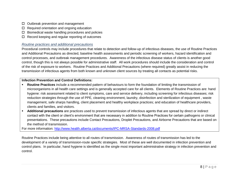- $\Box$  Outbreak prevention and management
- $\Box$  Required orientation and ongoing education
- $\square$  Biomedical waste handling procedures and policies
- $\Box$  Record keeping and regular reporting of outcomes

#### *Routine practices and additional precautions*

Procedural controls may include procedures that relate to detection and follow-up of infectious diseases, the use of Routine Practices and Additional Precautions as directed, baseline health assessments and periodic screening of workers, hazard identification and control processes, and outbreak management procedures. Awareness of the infectious disease status of clients is another good control, though this is not always possible for administrative staff. All work procedures should include the consideration and control of the risk of exposure to workers. Routine Practices and Additional Precautions (where required) greatly assist in reducing the transmission of infectious agents from both known and unknown client sources by treating all contacts as potential risks.

#### **Infection Prevention and Control Definitions:**

- **Routine Practices** include a recommended pattern of behaviours to form the foundation of limiting the transmission of microorganisms in all health care settings and is generally accepted care for all clients. Elements of Routine Practices are: hand hygiene: risk assessment related to client symptoms, care and service delivery, including screening for infectious diseases; risk reduction strategies through the use of PPE, cleaning environment, laundry, disinfection and sterilization of equipment , waste management, safe sharps handling, client placement and healthy workplace practices; and education of healthcare providers, clients and families, and visitors.
- **Additional precautions** are practices used to prevent transmission of infectious agents that are spread by direct or indirect contact with the client or client's environment that are necessary in addition to Routine Practices for certain pathogens or clinical presentations. These precautions include Contact Precautions, Droplet Precautions, and Airborne Precautions that are based on the method of transmission.

For more information:<http://www.health.alberta.ca/documents/IPC-MRSA-Standards-2008.pdf>

Routine Practices include being attentive to all routes of transmission. Awareness of routes of transmission has led to the development of a variety of transmission-route specific strategies. Most of these are well documented in infection prevention and control plans. In particular, hand hygiene is identified as the single most important administrative strategy in infection prevention and control.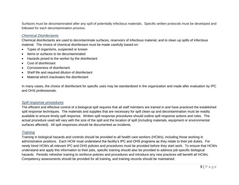Surfaces must be decontaminated after any spill of potentially infectious materials. Specific written protocols must be developed and followed for each decontamination process.

#### *Chemical Disinfectants*

Chemical disinfectants are used to decontaminate surfaces, reservoirs of infectious material, and to clean up spills of infectious material. The choice of chemical disinfectant must be made carefully based on:

- Types of organisms, suspected or known
- Items or surfaces to be decontaminated
- Hazards posed to the worker by the disinfectant
- Cost of disinfectant
- Corrosiveness of disinfectant
- Shelf life and required dilution of disinfectant
- Material which inactivates the disinfectant

In many cases, the choice of disinfectant for specific uses may be standardized in the organization and made after evaluation by IPC and OHS professionals.

#### *Spill response procedures*

The efficient and effective control of a biological spill requires that all staff members are trained in and have practiced the established spill response techniques. The materials and supplies that are necessary for spill clean-up and decontamination must be readily available to ensure timely spill response. Written spill response procedures should outline spill response actions and roles. The actual procedure used will vary with the size of the spill and the location of spill (including materials, equipment or environmental surfaces affected). All spill responses should be documented as incidents.

#### *Training*

Training in biological hazards and controls should be provided to all health care workers (HCWs), including those working in administrative positions. Each HCW must understand the facility's IPC and OHS programs as they relate to their job duties. For newly hired HCWs all relevant IPC and OHS policies and procedures must be provided before they start work. To ensure that HCWs understand and apply this information to their jobs, specific training should also be provided to address job-specific biological hazards. Periodic refresher training to reinforce policies and procedures and introduce any new practices will benefit all HCWs. Competency assessments should be provided for all training, and training records should be maintained.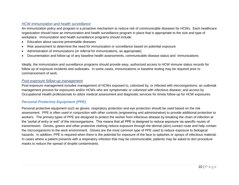## *HCW immunization and health surveillance*

An immunization policy and program is a proactive mechanism to reduce risk of communicable diseases for HCWs. Each healthcare organization should have an immunization and health surveillance program in place that is appropriate to the size and type of workplace. Immunization and health surveillance programs should include:

- Education about vaccine-preventable diseases
- Risk assessment to determine the need for immunization or surveillance based on potential exposure
- Administration of immunizations (or referral for immunizations, as appropriate)
- Documentation and follow-up of any baseline health assessments, communicable disease status and immunizations

Ideally, the immunization and surveillance programs should provide easy, authorized access to HCW immune status records for follow up of exposure incidents and outbreaks. In some cases, immunizations or baseline testing may be required prior to commencement of work.

#### *Post-exposure follow-up management*

Post-exposure management includes management of HCWs exposed to, colonized by, or infected with microorganisms; an outbreak management process for exposures and/or HCWs who are symptomatic or colonized with infectious disease; and access by Occupational Health professionals to utilize medical assessment and diagnostic services for timely follow-up for HCW exposures.

# *Personal Protective Equipment (PPE)*

Personal protective equipment such as gloves, respiratory protection and eye protection should be used based on the risk assessment. PPE is often used in conjunction with other controls (engineering and administrative) to provide additional protection to workers. The primary types of PPE are designed to protect the worker from infectious disease by breaking the chain of infection at the "portal of entry or exit" of the microorganisms. This means that all PPE is designed to reduce exposure via specific routes of transmission. Gloves, gowns and other protective clothing reduce exposure through the dermal (skin) contact route and help contain the microorganisms to the work environment. Gloves are the most common type of PPE used to reduce exposure to biological hazards. In addition, PPE is required when there is the potential for exposure of the face to splashes or sprays of infectious material. In cases where a patient presents with a respiratory infection that may be communicable, patients may be asked to don procedure masks to reduce the spread of droplet contaminants.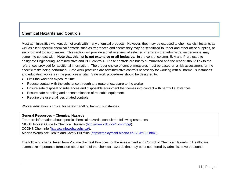# **Chemical Hazards and Controls**

Most administrative workers do not work with many chemical products. However, they may be exposed to chemical disinfectants as well as client-specific chemical hazards such as fragrances and scents they may be sensitized to, toner and other office supplies, or second-hand tobacco smoke. This section will provide a brief overview of selected chemicals that administrative personnel may come into contact with. **Note that this list is not extensive or all-inclusive.** In the control column, E, A and P are used to designate Engineering, Administrative and PPE controls. These controls are briefly summarized and the reader should link to the references provided for additional information. The proper choice of control measures must be based on a risk assessment for the specific tasks being performed. Safe work practices are administrative controls necessary for working with all harmful substances and educating workers in the practices is vital. Safe work procedures should be designed to:

- Limit the worker's exposure time
- Reduce contact with the substance through any route of exposure to the worker
- Ensure safe disposal of substances and disposable equipment that comes into contact with harmful substances
- Ensure safe handling and decontamination of reusable equipment
- Require the use of all designated controls

Worker education is critical for safely handling harmful substances.

**General Resources – Chemical Hazards**

For more information about specific chemical hazards, consult the following resources:

NIOSH Pocket Guide to Chemical Hazards [\(http://www.cdc.gov/niosh/npg/\)](http://www.cdc.gov/niosh/npg/).

CCOHS Cheminfo [\(http://ccinfoweb.ccohs.ca/\)](http://ccinfoweb.ccohs.ca/).

Alberta Workplace Health and Safety Bulletins [\(http://employment.alberta.ca/SFW/136.html](http://employment.alberta.ca/SFW/136.html) ).

The following charts, taken from Volume 3 – Best Practices for the Assessment and Control of Chemical Hazards in Healthcare, summarize important information about some of the chemical hazards that may be encountered by administrative personnel.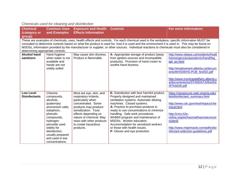| <b>Chemical</b><br>(category or          | <b>Common Uses</b><br>and Examples                                                                                                                                                                                                                                                                                                                                                                                                                  | <b>Exposure and Health Controls</b><br><b>Effects Information</b>                                                                                                                                                                                                |                                                                                                                                                                                                                                                                                                                                                                                                                                                      | For more information:                                                                                                                                                                                                                                                       |  |
|------------------------------------------|-----------------------------------------------------------------------------------------------------------------------------------------------------------------------------------------------------------------------------------------------------------------------------------------------------------------------------------------------------------------------------------------------------------------------------------------------------|------------------------------------------------------------------------------------------------------------------------------------------------------------------------------------------------------------------------------------------------------------------|------------------------------------------------------------------------------------------------------------------------------------------------------------------------------------------------------------------------------------------------------------------------------------------------------------------------------------------------------------------------------------------------------------------------------------------------------|-----------------------------------------------------------------------------------------------------------------------------------------------------------------------------------------------------------------------------------------------------------------------------|--|
| determining appropriate controls.        | group)<br>These are examples of chemicals, uses, health effects and controls. For each chemical used in the workplace, specific information MUST be<br>consulted to determine controls based on what the product is used for, how it is used and the environment it is used in. This may be found on<br>MSDSs, information provided by the manufacturer or supplier, or other sources. Individual reactions to chemicals must also be considered in |                                                                                                                                                                                                                                                                  |                                                                                                                                                                                                                                                                                                                                                                                                                                                      |                                                                                                                                                                                                                                                                             |  |
| <b>Alcohol hand</b><br>sanitizers        | Hand hygiene<br>when water is not<br>available and<br>hands are not<br>visibly soiled                                                                                                                                                                                                                                                                                                                                                               | May cause skin dryness.<br>Product is flammable.                                                                                                                                                                                                                 | A- Appropriate storage of product (away<br>from ignition sources and incompatible<br>products). Provision of hand cream to<br>soothe hand dryness.                                                                                                                                                                                                                                                                                                   | http://www.ottawa.ca/residents/healt<br>h/emergencies/pandemic/hand/faq<br>gel en.html<br>http://employment.alberta.ca/docum<br>ents/WHS/WHS-PUB_fex002.pdf<br>http://www.municipalaffairs.alberta.c<br>a/documents/ss/STANDATA/fire/fcb<br>/97fcb026.pdf                   |  |
| <b>Low Level</b><br><b>Disinfectants</b> | Chlorine<br>compounds,<br>alcohols,<br>quaternary<br>ammonium salts,<br>iodophors,<br>phenolic<br>compounds,<br>hydrogen<br>peroxide used<br>widely for<br>disinfection;<br>usually prepared<br>and used in low<br>concentrations.                                                                                                                                                                                                                  | Most are eye, skin, and<br>respiratory irritants,<br>particularly when<br>concentrated. Some<br>products may produce<br>sensitization. Toxic<br>effects depending on<br>nature of chemical. May<br>react with other products<br>to create hazardous<br>products. | E- Substitution with less harmful product.<br>Properly designed and maintained<br>ventilation systems. Automatic diluting<br>machines. Closed systems.<br>A- Practice to purchase products in<br>ready to use concentrations to minimize<br>handling. Safe work procedures.<br>WHMIS program and maintenance of<br>MSDSs. Worker education.<br>Accommodation for sensitized workers<br>or those with health issues.<br>P- Gloves and eye protection. | https://vprgsecure.web.virginia.edu/<br>bio/disinfectant summary.html<br>http://www.cdc.gov/niosh/topics/che<br>mical.html<br>http://cms.h2e-<br>online.org/ee/hazmat/hazmatconcer<br>n/steril/<br>http://www.mtpinnacle.com/pdfs/disi<br>nfectant-selection-guidelines.pdf |  |

# *Chemicals used for cleaning and disinfection*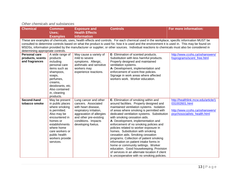# *Other chemicals and substances*

| <b>Chemical</b>                                            | <b>Common</b><br>Uses;<br><b>Examples</b>                                                                                                                                                                             | <b>Exposure and</b><br><b>Health Effects</b><br><b>Information</b>                                                                                                                                | <b>Controls</b>                                                                                                                                                                                                                                                                                                                                                                                                                                                                                                                                                                                                                                                                                                                   | For more information:                                                                                                    |
|------------------------------------------------------------|-----------------------------------------------------------------------------------------------------------------------------------------------------------------------------------------------------------------------|---------------------------------------------------------------------------------------------------------------------------------------------------------------------------------------------------|-----------------------------------------------------------------------------------------------------------------------------------------------------------------------------------------------------------------------------------------------------------------------------------------------------------------------------------------------------------------------------------------------------------------------------------------------------------------------------------------------------------------------------------------------------------------------------------------------------------------------------------------------------------------------------------------------------------------------------------|--------------------------------------------------------------------------------------------------------------------------|
| determining appropriate controls.                          |                                                                                                                                                                                                                       |                                                                                                                                                                                                   | These are examples of chemicals, uses, health effects and controls. For each chemical used in the workplace, specific information MUST be<br>consulted to determine controls based on what the product is used for, how it is used and the environment it is used in. This may be found on<br>MSDSs, information provided by the manufacturer or supplier, or other sources. Individual reactions to chemicals must also be considered in                                                                                                                                                                                                                                                                                         |                                                                                                                          |
| <b>Personal care</b><br>products, scents<br>and fragrances | A wide range of<br>products<br>including<br>personal care<br>items such as<br>shampoos,<br>soaps,<br>perfumes,<br>creams,<br>deodorants, etc.<br>Also contained<br>in, cleaning<br>products.                          | May cause a variety of<br>mild to severe<br>symptoms. Allergic,<br>asthmatic and sensitive<br>workers may<br>experience reactions.                                                                | E- Elimination of scented products.<br>Substitution with less harmful products.<br>Properly designed and maintained<br>ventilation systems.<br>A- Development, implementation and<br>enforcement of scent-free policies.<br>Signage in work areas where affected<br>workers work. Worker education.                                                                                                                                                                                                                                                                                                                                                                                                                               | http://www.ccohs.ca/oshanswers/<br>hsprograms/scent free.html                                                            |
| Second-hand<br>tobacco smoke                               | May be present<br>in public places<br>where smoking<br>is permitted.<br>Also may be<br>encountered in<br>homes or<br>establishments<br>where home<br>care workers or<br>public health<br>workers provide<br>services. | Lung cancer and other<br>cancers. Associated<br>with heart disease,<br>respiratory irritation,<br>aggravation of allergies<br>and other pre-existing<br>conditions. Impacts<br>developing foetus. | E- Elimination of smoking within and<br>around facilities. Properly designed and<br>maintained ventilation systems. Isolation<br>of areas where smoking is permitted with<br>dedicated ventilation systems. Substitution<br>with smoking cessation aids.<br>A- Development, implementation and<br>enforcement of no smoking policies and<br>policies related to worker exposure in<br>homes. Substitution with smoking<br>cessation aids. Smoking cessation<br>programs. Collection of patient smoking<br>information on patient intake forms in<br>home or community settings. Worker<br>education. Good housekeeping. Provision<br>of services in an alternate location if client<br>is uncooperative with no smoking policies. | http://healthlink.mcw.edu/article/1<br>031002601.html<br>http://www.ccohs.ca/oshanswers/<br>psychosocial/ets_health.html |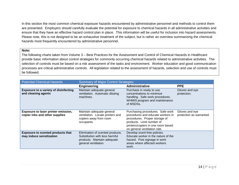In this section the most common chemical exposure hazards encountered by administrative personnel and methods to control them are presented. Employers should carefully evaluate the potential for exposure to chemical hazards in all administrative activities and ensure that they have an effective hazard control plan in place. This information will be useful for inclusion into hazard assessments. Please note, this is not designed to be an exhaustive treatment of the subject, but is rather an overview summarizing the chemical hazards most frequently encountered by administrative personnel.

#### **Note:**

The following charts taken from Volume 3 – Best Practices for the Assessment and Control of Chemical Hazards in Healthcare provide basic information about control strategies for commonly occurring chemical hazards related to administrative activities. The selection of controls must be based on a risk assessment of the tasks and environment. Worker education and good communication processes are critical administrative controls. All legislation related to the assessment of hazards, selection and use of controls must be followed.

| <b>Potential Chemical Hazards</b>                                     | <b>Summary of Major Control Strategies</b>                                                                                |                                                                                                                                                                                                           |                                            |
|-----------------------------------------------------------------------|---------------------------------------------------------------------------------------------------------------------------|-----------------------------------------------------------------------------------------------------------------------------------------------------------------------------------------------------------|--------------------------------------------|
|                                                                       | <b>Engineering</b>                                                                                                        | <b>Administrative</b>                                                                                                                                                                                     | <b>PPE</b>                                 |
| <b>Exposure to a variety of disinfecting</b><br>and cleaning agents   | Maintain adequate general<br>ventilation. Automatic diluting<br>machines.                                                 | Purchase in ready to use<br>concentrations to minimize<br>handling. Safe work procedures.<br>WHMIS program and maintenance<br>of MSDSs.                                                                   | Gloves and eye<br>protection.              |
| Exposure to laser printer emission,<br>copier inks and other supplies | Maintain adequate general<br>ventilation. Locate printers and<br>copiers away from room<br>occupants.                     | Purchasing procedures. Safe work<br>procedures and educate workers in<br>procedures. Proper storage of<br>products. Limit number of<br>printers/copiers in one room based<br>on general ventilation rate. | Gloves and eye<br>protection as warranted. |
| <b>Exposure to scented products that</b><br>may induce sensitization  | Elimination of scented products.<br>Substitution with less harmful<br>products. Maintain adequate<br>general ventilation. | Develop scent-free policies.<br>Educate worker in the nature of the<br>hazard. Post signage in work<br>areas where affected workers<br>work.                                                              |                                            |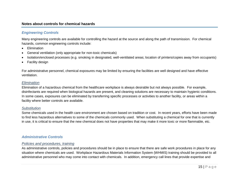#### **Notes about controls for chemical hazards**

## *Engineering Controls*

Many engineering controls are available for controlling the hazard at the source and along the path of transmission. For chemical hazards, common engineering controls include:

- Elimination
- General ventilation (only appropriate for non-toxic chemicals)
- Isolation/enclosed processes (e.g. smoking in designated, well-ventilated areas; location of printers/copies away from occupants)
- Facility design

For administrative personnel, chemical exposures may be limited by ensuring the facilities are well designed and have effective ventilation.

#### *Elimination*

Elimination of a hazardous chemical from the healthcare workplace is always desirable but not always possible. For example, disinfectants are required when biological hazards are present, and cleaning solutions are necessary to maintain hygienic conditions. In some cases, exposures can be eliminated by transferring specific processes or activities to another facility, or areas within a facility where better controls are available.

#### *Substitution*

Some chemicals used in the health care environment are chosen based on tradition or cost. In recent years, efforts have been made to find less hazardous alternatives to some of the chemicals commonly used. When substituting a chemical for one that is currently in use, it is critical to ensure that the new chemical does not have properties that may make it more toxic or more flammable, etc.

#### *Administrative Controls*

#### *Policies and procedures, training*

As administrative controls, policies and procedures should be in place to ensure that there are safe work procedures in place for any situation where chemicals are used. Workplace Hazardous Materials Information System (WHMIS) training should be provided to all administrative personnel who may come into contact with chemicals. In addition, emergency call lines that provide expertise and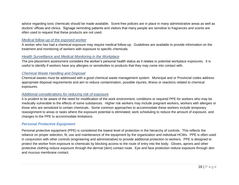advice regarding toxic chemicals should be made available. Scent-free policies are in place in many administrative areas as well as doctors' offices and clinics. Signage reminding patients and visitors that many people are sensitive to fragrances and scents are often used to request that these products are not used.

#### *Medical follow-up of the exposed worker*

A worker who has had a chemical exposure may require medical follow-up. Guidelines are available to provide information on the treatment and monitoring of workers with exposure to specific chemicals.

#### *Health Surveillance and Medical Monitoring in the Workplace*

The pre-placement assessment considers the worker's personal health status as it relates to potential workplace exposures. It is useful to identify if workers have any allergies or sensitivities to products that they may come into contact with.

#### *Chemical Waste Handling and Disposal*

Chemical wastes must be addressed with a good chemical waste management system. Municipal and or Provincial codes address appropriate disposal requirements and aim to reduce contamination, possible injuries, illness or reactions related to chemical exposures.

#### *Additional considerations for reducing risk of exposure*

It is prudent to be aware of the need for modification of the work environment, conditions or required PPE for workers who may be medically vulnerable to the effects of some substances. Higher risk workers may include pregnant workers, workers with allergies or those who are sensitized to certain chemicals. Some common approaches to accommodate these workers include temporary reassignment to areas or tasks where the exposure potential is eliminated; work scheduling to reduce the amount of exposure, and changes to the PPE to accommodate limitations.

#### *Personal Protective Equipment*

Personal protective equipment (PPE) is considered the lowest level of protection in the hierarchy of controls. This reflects the reliance on proper selection, fit, use and maintenance of the equipment by the organization and individual HCWs. PPE is often used in conjunction with other controls (engineering and administrative) to provide additional protection to workers. PPE is designed to protect the worker from exposure to chemicals by blocking access to the route of entry into the body. Gloves, aprons and other protective clothing reduce exposure through the dermal (skin) contact route. Eye and face protection reduce exposure through skin and mucous membrane contact.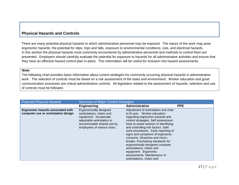# **Physical Hazards and Controls**

There are many potential physical hazards to which administrative personnel may be exposed. The nature of the work may pose ergonomic hazards, the potential for slips, trips and falls, exposure to environmental conditions, cuts, and electrical hazards. In this section the physical hazards most commonly encountered by administrative personnel and methods to control them are presented. Employers should carefully evaluate the potential for exposure to hazards for all administrative activities and ensure that they have an effective hazard control plan in place. This information will be useful for inclusion into hazard assessments.

#### **Note:**

The following chart provides basic information about control strategies for commonly occurring physical hazards in administrative work. The selection of controls must be based on a risk assessment of the tasks and environment. Worker education and good communication processes are critical administrative controls. All legislation related to the assessment of hazards, selection and use of controls must be followed.

| <b>Potential Physical Hazards</b>                                       | <b>Summary of Major Control Strategies</b>                                                                                                                            |                                                                                                                                                                                                                                                                                                                                                                                                                                                                                                                                  |            |
|-------------------------------------------------------------------------|-----------------------------------------------------------------------------------------------------------------------------------------------------------------------|----------------------------------------------------------------------------------------------------------------------------------------------------------------------------------------------------------------------------------------------------------------------------------------------------------------------------------------------------------------------------------------------------------------------------------------------------------------------------------------------------------------------------------|------------|
|                                                                         | <b>Engineering</b>                                                                                                                                                    | Administrative                                                                                                                                                                                                                                                                                                                                                                                                                                                                                                                   | <b>PPE</b> |
| Ergonomic hazards associated with<br>computer use or workstation design | Ergonomically designed<br>workstations, chairs and<br>equipment. Incorporate<br>adjustable workstation to<br>accommodate shared use by<br>employees of various sizes. | Adjustment of workstation and chair<br>to fit user. Worker education<br>regarding ergonomic hazards and<br>control strategies. Self assessment<br>tools to assist workers in identifying<br>and controlling risk factors. Safe<br>work procedures. Early reporting of<br>signs and symptoms of ergonomic<br>concerns. Stretches and micro-<br>breaks. Purchasing standards for<br>ergonomically designed computer<br>workstations, chairs and<br>equipment. Ergonomic<br>assessments. Maintenance of<br>workstations, chairs and |            |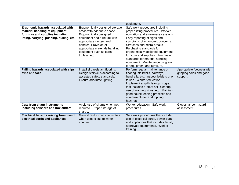|                                                                                                                                                       |                                                                                                                                                                                                                                                            | equipment.                                                                                                                                                                                                                                                                                                                                                                                                             |                                                                  |
|-------------------------------------------------------------------------------------------------------------------------------------------------------|------------------------------------------------------------------------------------------------------------------------------------------------------------------------------------------------------------------------------------------------------------|------------------------------------------------------------------------------------------------------------------------------------------------------------------------------------------------------------------------------------------------------------------------------------------------------------------------------------------------------------------------------------------------------------------------|------------------------------------------------------------------|
| Ergonomic hazards associated with<br>material handling of equipment,<br>furniture and supplies including<br>lifting, carrying, pushing, pulling, etc. | Ergonomically designed storage<br>areas with adequate space.<br>Ergonomically designed<br>equipment and furniture with<br>appropriate casters and<br>handles. Provision of<br>appropriate materials handling<br>equipment such as carts,<br>trolleys, etc. | Safe work procedures including<br>proper lifting procedures. Worker<br>education and awareness sessions.<br>Early reporting of signs and<br>symptoms of ergonomic concerns.<br>Stretches and micro-breaks.<br>Purchasing standards for<br>ergonomically designed equipment,<br>furniture and supplies. Purchasing<br>standards for material handling<br>equipment. Maintenance program<br>for equipment and furniture. |                                                                  |
| Falling hazards associated with slips,<br>trips and falls                                                                                             | Install slip resistant flooring.<br>Design stairwells according to<br>accepted safety standards.<br>Ensure adequate lighting.                                                                                                                              | Perform regular maintenance on<br>flooring, stairwells, hallways,<br>handrails, etc. Inspect ladders prior<br>to use. Worker education.<br>Implement a spill cleanup program<br>that includes prompt spill cleanup,<br>use of warning signs, etc. Maintain<br>good housekeeping practices and<br>minimize clutter and tripping<br>hazards.                                                                             | Appropriate footwear with<br>gripping soles and good<br>support. |
| <b>Cuts from sharp instruments</b><br>including scissors and box cutters                                                                              | Avoid use of sharps when not<br>required. Proper storage of<br>sharps.                                                                                                                                                                                     | Worker education. Safe work<br>procedures.                                                                                                                                                                                                                                                                                                                                                                             | Gloves as per hazard<br>assessment.                              |
| Electrical hazards arising from use of<br>electrical cords and appliances                                                                             | Ground fault circuit interrupters<br>when used close to water<br>sources.                                                                                                                                                                                  | Safe work procedures that include<br>use of electrical cords, power bars<br>and appliances that includes facility<br>approval requirements. Worker<br>training.                                                                                                                                                                                                                                                        |                                                                  |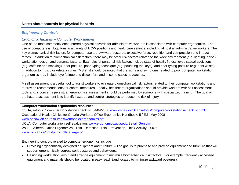# *Engineering Controls*

# *Ergonomic hazards – Computer Workstations*

One of the most commonly encountered physical hazards for administrative workers is associated with computer ergonomics. The use of computers is ubiquitous in a variety of HCW positions and healthcare settings, including almost all administrative workers. The key biomechanical risk factors for computer use are awkward postures, excessive force, repetition and compression and impact forces. In addition to biomechanical risk factors, there may be other risk factors related to the work environment (e.g. lighting, noise), workstation design and personal factors. Examples of personal risk factors include state of health, fitness level, casual addictions (e.g. caffeine and smoking), poor posture, poor typing technique (e.g. pounding the keys), and poor typing posture (e.g. bent wrists). In addition to musculoskeletal injuries (MSIs), it should be noted that the signs and symptoms related to poor computer workstation ergonomics may include eye fatigue and discomfort, and in some cases headaches.

A self assessment is a useful tool to assist workers to evaluate biomechanical risk factors related to their computer workstations and to provide recommendations for control measures. Ideally, healthcare organizations should provide workers with self assessment tools and, if concerns persist, an ergonomics assessment should be performed by someone with specialized training. The goal of the hazard assessment is to identify hazards and control strategies to reduce the risk of injury.

#### **Computer workstation ergonomics resources**

OSHA, e-tools: Computer workstation checklist, 04/04/2008 [www.osha.gov/SLTC/etools/computerworkstations/checklist.html](http://www.osha.gov/SLTC/etools/computerworkstations/checklist.html) Occupational Health Clinics for Ontario Workers, Office Ergonomics Handbook, 5<sup>th</sup> Ed., May 2008 [www.ohcow.on.ca/resources/workbooks/ergonomics.pdf](http://www.ohcow.on.ca/resources/workbooks/ergonomics.pdf) UCLA, Computer workstation self evaluation; [www.ergonomics.ucla.edu/Seval\\_Gen.cfm](http://www.ergonomics.ucla.edu/Seval_Gen.cfm) WCB – Alberta, Office Ergonomics: Think Detection, Think Prevention, Think Activity, 2007; [www.wcb.ab.ca/pdfs/public/office\\_ergo.pdf](http://www.wcb.ab.ca/pdfs/public/office_ergo.pdf)

Engineering controls related to computer ergonomics include

- Providing ergonomically designed equipment and furniture The goal is to purchase and provide equipment and furniture that will support ergonomically correct work postures and behaviours.
- Designing workstation layout and arrange equipment to minimize biomechanical risk factors. For example, frequently accessed equipment and materials should be located in easy reach (and located to minimize awkward postures).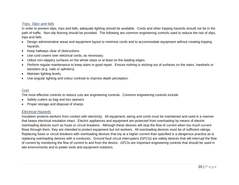## *Trips, Slips and falls*

In order to prevent slips, trips and falls, adequate lighting should be available. Cords and other tripping hazards should not be in the path of traffic. Non-slip flooring should be provided. The following are common engineering controls used to reduce the risk of slips, trips and falls:

- Design administrative areas and equipment layout to minimize cords and to accommodate equipment without creating tripping hazards.
- Keep hallways clear of obstructions.
- Use cord covers over electrical cords, as necessary.
- Utilize non-slippery surfaces on the whole steps or at least on the leading edges.
- Perform regular maintenance to keep stairs in good repair. Ensure nothing is sticking out of surfaces on the stairs, handrails or banisters (e.g. nails or splinters).
- Maintain lighting levels.
- Use angular lighting and colour contrast to improve depth perception.

# *Cuts*

The most effective controls to reduce cuts are engineering controls. Common engineering controls include

- Safety cutters as bag and box openers
- Proper storage and disposal of sharps

# *Electrical Hazards*

Insulation protects workers from contact with electricity. All equipment, wiring and cords must be maintained and used in a manner that keeps electrical insulation intact. Electric appliances and equipment are protected from overloading by means of electric overloading devices such as fuses or circuit breakers. Although these devices will stop the flow of current when too much current flows through them, they are intended to protect equipment but not workers. All overloading devices must be of sufficient ratings. Replacing fuses or circuit breakers with overloading devices that trip at a higher current than specified is a dangerous practice as is replacing overloading devices with a conductor. Ground fault circuit interrupters (GFCIs) are safety devices that will interrupt the flow of current by monitoring the flow of current to and from the device. GFCIs are important engineering controls that should be used in wet environments and to power tools and equipment outdoors.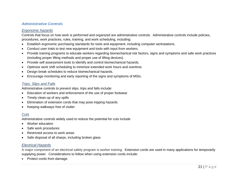# *Administrative Controls*

#### *Ergonomic hazards*

Controls that focus on how work is performed and organized are administrative controls. Administrative controls include policies, procedures, work practices, rules, training, and work scheduling, including:

- Establish ergonomic purchasing standards for tools and equipment, including computer workstations.
- Conduct user trials to test new equipment and tools with input from workers.
- Provide training programs to educate workers regarding biomechanical risk factors, signs and symptoms and safe work practices (including proper lifting methods and proper use of lifting devices).
- Provide self assessment tools to identify and control biomechanical hazards.
- Optimize work shift scheduling to minimize extended work hours and overtime.
- Design break schedules to reduce biomechanical hazards.
- Encourage monitoring and early reporting of the signs and symptoms of MSIs.

# *Trips, Slips and Falls*

Administrative controls to prevent slips, trips and falls include:

- Education of workers and enforcement of the use of proper footwear
- Timely clean-up of any spills
- Elimination of extension cords that may pose tripping hazards
- Keeping walkways free of clutter

# *Cuts*

Administrative controls widely used to reduce the potential for cuts include

- Worker education
- Safe work procedures
- Restricted access to work areas
- Safe disposal of all sharps, including broken glass

# *Electrical Hazards*

A major component of an electrical safety program is worker training. Extension cords are used in many applications for temporarily supplying power. Considerations to follow when using extension cords include:

• Protect cords from damage.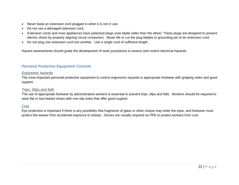- Never keep an extension cord plugged in when it is not in use.
- Do not use a damaged extension cord.
- Extension cords and most appliances have polarized plugs (one blade wider than the other). These plugs are designed to prevent electric shock by properly aligning circuit conductors. Never file or cut the plug blades or grounding pin of an extension cord.
- Do not plug one extension cord into another. Use a single cord of sufficient length.

Hazard assessments should guide the development of work procedures to assess and control electrical hazards.

# *Personal Protective Equipment Controls*

#### *Ergonomic hazards*

The most important personal protective equipment to control ergonomic hazards is appropriate footwear with gripping soles and good support.

#### *Trips, Slips and falls*

The use of appropriate footwear by administrative workers is essential to prevent trips, slips and falls. Workers should be required to wear flat or low-heeled shoes with non-slip soles that offer good support.

# *Cuts*

Eye protection is important if there is any possibility that fragments of glass or other sharps may enter the eyes, and footwear must protect the wearer from accidental exposure to sharps. Gloves are usually required as PPE to protect workers from cuts.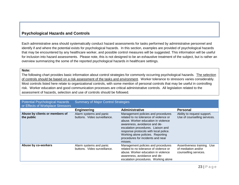# **Psychological Hazards and Controls**

Each administrative area should systematically conduct hazard assessments for tasks performed by administrative personnel and identify if and where the potential exists for psychological hazards. In this section, examples are provided of psychological hazards that may be encountered by any healthcare worker, and possible control measures will be suggested. This information will be useful for inclusion into hazard assessments. Please note, this is not designed to be an exhaustive treatment of the subject, but is rather an overview summarizing the some of the reported psychological hazards in healthcare settings.

#### **Note:**

The following chart provides basic information about control strategies for commonly occurring psychological hazards. The selection of controls should be based on a risk assessment of the tasks and environment. Worker tolerance to stressors varies considerably. Most controls listed here relate to organizational controls, with some mention of personal controls that may be useful in controlling risk. Worker education and good communication processes are critical administrative controls. All legislation related to the assessment of hazards, selection and use of controls should be followed.

| <b>Potential Psychological Hazards</b><br>or Effects of Workplace Stressors | <b>Summary of Major Control Strategies</b>              |                                                                                                                                                                                                                                                                                                                         |                                                                             |
|-----------------------------------------------------------------------------|---------------------------------------------------------|-------------------------------------------------------------------------------------------------------------------------------------------------------------------------------------------------------------------------------------------------------------------------------------------------------------------------|-----------------------------------------------------------------------------|
|                                                                             | <b>Engineering</b>                                      | Administrative                                                                                                                                                                                                                                                                                                          | <b>Personal</b>                                                             |
| Abuse by clients or members of<br>the public                                | Alarm systems and panic<br>buttons. Video surveillance. | Management policies and procedures<br>related to no tolerance of violence or<br>abuse. Worker education in violence<br>awareness, avoidance and de-<br>escalation procedures. Liaison and<br>response protocols with local police.<br>Working alone policies. Reporting<br>procedures for incidents and near<br>misses. | Ability to request support.<br>Use of counselling services.                 |
| Abuse by co-workers                                                         | Alarm systems and panic<br>buttons. Video surveillance. | Management policies and procedures<br>related to no tolerance of violence or<br>abuse. Worker education in violence<br>awareness, avoidance and de-<br>escalation procedures. Working alone                                                                                                                             | Assertiveness training. Use<br>of mediation and/or<br>counselling services. |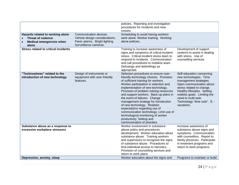|                                                                                                           |                                                                                                                     | policies. Reporting and investigation<br>procedures for incidents and near<br>misses.                                                                                                                                                                                                                                                                                                                                                                                                                                                                                         |                                                                                                                                                                                                                                                                            |
|-----------------------------------------------------------------------------------------------------------|---------------------------------------------------------------------------------------------------------------------|-------------------------------------------------------------------------------------------------------------------------------------------------------------------------------------------------------------------------------------------------------------------------------------------------------------------------------------------------------------------------------------------------------------------------------------------------------------------------------------------------------------------------------------------------------------------------------|----------------------------------------------------------------------------------------------------------------------------------------------------------------------------------------------------------------------------------------------------------------------------|
| Hazards related to working alone<br><b>Threat of violence</b><br><b>Medical emergencies when</b><br>alone | Communication devices.<br>Vehicle design considerations.<br>Panic alarms. Bright lighting.<br>Surveillance cameras. | Scheduling to avoid having workers<br>work alone. Worker training. Working<br>alone policies.                                                                                                                                                                                                                                                                                                                                                                                                                                                                                 |                                                                                                                                                                                                                                                                            |
| <b>Stress related to critical incidents</b>                                                               |                                                                                                                     | Training to increase awareness of<br>signs and symptoms of critical incident<br>stress. Critical incident stress team to<br>respond to incidents. Communication<br>and call procedures to mobilize team.<br>Defusings and debriefings as<br>appropriate.                                                                                                                                                                                                                                                                                                                      | Development of support<br>systems to assist in dealing<br>with stress. Use of<br>counselling services.                                                                                                                                                                     |
| "Technostress" related to the<br>introduction of new technology                                           | Design of instruments or<br>equipment with user-friendly<br>features.                                               | Selection procedures to ensure user-<br>friendly technology choices. Provision<br>of sufficient training for workers.<br>Worker participation in selection and<br>implementation of new technology.<br>Provision of problem solving resources<br>and support workers. Back-up plans in<br>the event of failures. Change<br>management strategy for introduction<br>of new technology. Realistic<br>expectations regarding use of<br>communication technology. Limit use of<br>technological monitoring of worker<br>productivity. Setting and<br>communication of priorities. | Self-education concerning<br>new technologies. Time<br>management strategies.<br>Open communication about<br>stress related to change.<br>Healthy lifestyles. Setting<br>realistic goals. Limiting the<br>need to multi-task.<br>Technology "time outs". E -<br>vacations. |
| Substance abuse as a response to<br>excessive workplace stressors                                         |                                                                                                                     | Worker involvement in substance<br>abuse policy and procedures<br>development. Worker education about<br>substance abuse. Training workers<br>and supervisors to recognize the signs<br>of substance abuse. Procedures to<br>limit individual access to narcotics<br>Provision of counselling services and<br>return to work plans.                                                                                                                                                                                                                                           | Increase awareness of<br>substance abuse signs and<br>symptoms. Communication<br>with counsellors. Report to<br>family physician. Participate<br>in treatment programs and<br>return to work programs.                                                                     |
| Depression, anxiety, sleep                                                                                |                                                                                                                     | Worker education about the signs and                                                                                                                                                                                                                                                                                                                                                                                                                                                                                                                                          | Programs to maintain or build                                                                                                                                                                                                                                              |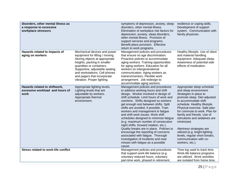| disorders, other mental illness as<br>a response to excessive<br>workplace stressors |                                                                                                                                                                                                                                                                                                | symptoms of depression, anxiety, sleep<br>disorders, other mental illness.<br>Elimination of workplace risk factors for<br>depression, anxiety, sleep disorders,<br>other mental illness. Provision of<br>support services and programs.<br>Benefit plans provision. Effective<br>return to work programs.                                                                                                                                                                                                                                                                                                                                                                                                | resilience or coping skills.<br>Development of support<br>system. Communication with<br>family physician.                                                                                                                                                                                                                                                                                                                                                       |
|--------------------------------------------------------------------------------------|------------------------------------------------------------------------------------------------------------------------------------------------------------------------------------------------------------------------------------------------------------------------------------------------|-----------------------------------------------------------------------------------------------------------------------------------------------------------------------------------------------------------------------------------------------------------------------------------------------------------------------------------------------------------------------------------------------------------------------------------------------------------------------------------------------------------------------------------------------------------------------------------------------------------------------------------------------------------------------------------------------------------|-----------------------------------------------------------------------------------------------------------------------------------------------------------------------------------------------------------------------------------------------------------------------------------------------------------------------------------------------------------------------------------------------------------------------------------------------------------------|
| Hazards related to impacts of<br>aging on workers                                    | Mechanical devices and power<br>equipment for lifting / moving.<br>Storing objects at appropriate<br>heights, packing in smaller<br>quantities or containers.<br>Supportive, adjustable seating<br>and workstations. Cell phones<br>and pagers that incorporate<br>vibration. Proper lighting. | Management policies and procedures<br>that ensure no age discrimination.<br>Proactive policies to accommodate<br>aging workers. Training opportunities<br>for aging workers. Education for all<br>workers on intergenerational<br>communication. Aging workers as<br>trainers/mentors. Flexible work<br>arrangement. Job redesign to<br>accommodate aging workers.                                                                                                                                                                                                                                                                                                                                        | Healthy lifestyle. Use of client<br>and material handling<br>equipment. Adequate sleep.<br>Awareness of potential side<br>effects of medication.                                                                                                                                                                                                                                                                                                                |
| Hazards related to shiftwork,<br>excessive workload and hours of<br>work             | Appropriate lighting levels.<br>Lighting levels that are<br>adjustable by workers.<br>Appropriate thermal<br>environment.                                                                                                                                                                      | Management policies and procedures<br>to address working hours and shift<br>design. Worker involved in design of<br>shift schedule. Limit hours of work and<br>overtime. Shifts designed so workers<br>get enough rest between shifts. Split<br>shifts are avoided, if possible. Train<br>workers and management in fatigue<br>and shift work issues. Work shift<br>schedules designed to minimize fatigue<br>(e.g. maximum number of consecutive<br>night shifts, forward rotation, etc.).<br>Quality breaks are in place. Policies to<br>encourage the reporting of concerns<br>associated with fatigue. Thorough<br>investigation of incidents and near<br>misses with fatigue as a possible<br>cause. | Appropriate sleep schedule<br>and sleep environment.<br>Strategies in place to<br>promote sleep. Diet adjusted<br>to accommodate shift<br>schedule. Healthy lifestyle.<br>Physical exercise. Safe plan<br>for commute to work. Plan for<br>family and friends. Use of<br>stimulants and sedatives are<br>minimized.<br>Alertness strategies are<br>utilized (e.g. bright lighting<br>levels, regular short breaks,<br>communication with co-<br>workers, etc.). |
| <b>Stress related to work-life conflict</b>                                          |                                                                                                                                                                                                                                                                                                | Management policies and procedures<br>that support work-life balance (e.g.<br>voluntary reduced hours, voluntary<br>part-time work, phased in retirement,                                                                                                                                                                                                                                                                                                                                                                                                                                                                                                                                                 | Time log used to track time.<br>Work-life balance programs<br>are utilized. Work activities<br>are isolated from home time.                                                                                                                                                                                                                                                                                                                                     |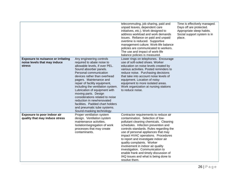|                                                                                            |                                                                                                                                                                                                                                                                                                                                                                                                                                                                                                         | telecommuting, job sharing, paid and<br>unpaid leaves, dependent care<br>initiatives, etc.). Work designed to<br>address workload and work demands<br>issues. Reliance on paid and unpaid<br>overtime is reduced. Supportive<br>management culture. Work-life balance<br>policies are communicated to workers.<br>The use and impact of work-life<br>balance policies is measured.                                                                                                                                                 | Time is effectively managed.<br>Days off are protected.<br>Appropriate sleep habits.<br>Social support system is in<br>place. |
|--------------------------------------------------------------------------------------------|---------------------------------------------------------------------------------------------------------------------------------------------------------------------------------------------------------------------------------------------------------------------------------------------------------------------------------------------------------------------------------------------------------------------------------------------------------------------------------------------------------|------------------------------------------------------------------------------------------------------------------------------------------------------------------------------------------------------------------------------------------------------------------------------------------------------------------------------------------------------------------------------------------------------------------------------------------------------------------------------------------------------------------------------------|-------------------------------------------------------------------------------------------------------------------------------|
| <b>Exposure to nuisance or irritating</b><br>noise levels that may induce<br><b>stress</b> | Any engineering controls<br>required to abate noise to<br>allowable levels, if over PEL.<br>Sound absorber panels.<br>Personal communication<br>devices rather than overhead<br>pagers. Maintenance and<br>repair of facility equipment,<br>including the ventilation system.<br>Lubrication of equipment with<br>moving parts. Design<br>considerations related to noise<br>reduction in new/renovated<br>facilities. Padded chart holders<br>and pneumatic tube systems.<br>Sound-masking technology. | Lower rings on telephones. Encourage<br>use of soft-soled shoes. Worker<br>education on noise levels created by<br>various activities. Posted reminders to<br>reduce noise. Purchasing decisions<br>that take into account noise levels of<br>equipment. Location of noisy<br>equipment to more isolated areas.<br>Work organization at nursing stations<br>to reduce noise.                                                                                                                                                       |                                                                                                                               |
| Exposure to poor indoor air<br>quality that may induce stress                              | Proper ventilation system<br>design. Ventilation system<br>maintenance activities.<br>Isolation/segregation of work<br>processes that may create<br>contaminants.                                                                                                                                                                                                                                                                                                                                       | Contractor requirements to reduce air<br>contamination. Selection of low-<br>pollutant cleaning chemicals. Cleaning<br>schedules. Infection prevention and<br>controls standards. Rules regarding the<br>use of personal appliances that may<br>impact HVAC operations. Procedures<br>to report and investigate indoor air<br>quality complaints. Worker<br>involvement in indoor air quality<br>investigation. Communication to<br>enable frank and timely discussion of<br>IAQ issues and what is being done to<br>resolve them. |                                                                                                                               |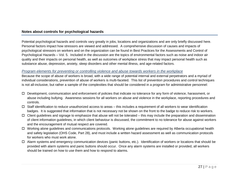# **Notes about controls for psychological hazards**

Potential psychological hazards and controls vary greatly in jobs, locations and organizations and are only briefly discussed here. Personal factors impact how stressors are viewed and addressed. A comprehensive discussion of causes and impacts of psychological stressors on workers and on the organization can be found in Best Practices for the Assessments and Control of Psychological Hazards – Vol. 5. Included in the discussion are the topics of environmental factors such as noise and indoor air quality and their impacts on personal health, as well as outcomes of workplace stress that may impact personal health such as substance abuse, depression, anxiety, sleep disorders and other mental illness, and age-related factors.

#### *Program elements for preventing or controlling violence and abuse towards workers in the workplace*

Because the scope of abuse of workers is broad, with a wide range of potential internal and external perpetrators and a myriad of individual considerations, prevention of abuse of workers is multi-faceted. This list of prevention procedures and control techniques is not all-inclusive, but rather a sample of the complexities that should be considered in a program for administrative personnel:

- $\Box$  Development, communication and enforcement of policies that indicate no tolerance for any form of violence, harassment, or abuse including bullying. Awareness sessions for all workers on abuse and violence in the workplace, reporting procedures and controls.
- Staff identification to reduce unauthorized access to areas this includes a requirement of all workers to wear identification badges. It is suggested that information that is not necessary not be shown on the front to the badge to reduce risk to workers.
- $\Box$  Client guidelines and signage to emphasize that abuse will not be tolerated this may include the preparation and dissemination of client information guidelines, in which client behaviour is discussed, the commitment to no tolerance for abuse against workers and the encouragement of mutual respect are covered.
- □ Working alone guidelines and communications protocols. Working alone guidelines are required by Alberta occupational health and safety legislation (OHS Code, Part 28), and must include a written hazard assessment as well as communication protocols for workers who must work alone.
- □ Alarm systems and emergency communication devices (panic buttons, etc.). Identification of workers or locations that should be provided with alarm systems and panic buttons should occur. Once any alarm systems are installed or provided, all workers should be trained on how to use them and how to respond to alarms.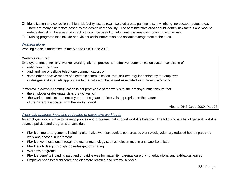- $\Box$  Identification and correction of high risk facility issues (e.g., isolated areas, parking lots, low lighting, no escape routes, etc.). There are many risk factors posed by the design of the facility. The administrative area should identify risk factors and work to reduce the risk in the areas. A checklist would be useful to help identify issues contributing to worker risk.
- $\Box$  Training programs that include non-violent crisis intervention and assault management techniques.

#### *Working alone*

Working alone is addressed in the Alberta OHS Code 2009.

#### **Controls required**

Employers must, for any worker working alone, provide an effective communication system consisting of

- radio communication.
- and land line or cellular telephone communication, or
- some other effective means of electronic communication that includes regular contact by the employer or designate at intervals appropriate to the nature of the hazard associated with the worker's work.

If effective electronic communication is not practicable at the work site, the employer must ensure that

- the employer or designate visits the worker, or
- the worker contacts the employer or designate at intervals appropriate to the nature of the hazard associated with the worker's work.

Alberta OHS Code 2009, Part 28

#### *Work-Life balance, including reduction of excessive workloads*

An employer should strive to develop policies and programs that support work-life balance. The following is a list of general work-life balance policies and programs to consider:

- Flexible time arrangements including alternative work schedules, compressed work week, voluntary reduced hours / part-time work and phased in retirement
- Flexible work locations through the use of technology such as telecommuting and satellite offices
- Flexible job design through job redesign, job sharing
- Wellness programs
- Flexible benefits including paid and unpaid leaves for maternity, parental care giving, educational and sabbatical leaves
- Employer sponsored childcare and eldercare practice and referral services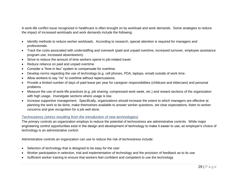A work-life conflict issue recognized in healthcare is often brought on by workload and work demands. Some strategies to reduce the impact of increased workloads and work demands include the following:

- Identify methods to reduce worker workloads. According to research, special attention is required for managers and professionals.
- Track the costs associated with understaffing and overwork (paid and unpaid overtime, increased turnover, employee assistance program use, increased absenteeism).
- Strive to reduce the amount of time workers spend in job-related travel.
- Reduce reliance on paid and unpaid overtime.
- Consider a "time in lieu" system to compensate for overtime.
- Develop norms regarding the use of technology (e.g. cell phones, PDA, laptops, email) outside of work time.
- Allow workers to say "no" to overtime without repercussions.
- Provide a limited number of days of paid leave per year for caregiver responsibilities (childcare and eldercare) and personal problems.
- Measure the use of work-life practices (e.g. job sharing, compressed work week, etc.) and reward sections of the organization with high usage. Investigate sections where usage is low.
- Increase supportive management. Specifically, organizations should increase the extent to which managers are effective at planning the work to be done, make themselves available to answer worker questions, set clear expectations, listen to worker concerns and give recognition for a job well done.

#### *Technostress (stress resulting from the introduction of new technologies)*

The primary controls an organization employs to reduce the potential of technostress are administrative controls. While major engineering control opportunities exist in the design and development of technology to make it easier to use, an employer's choice of technology is an administrative control.

Administrative controls an organization can use to reduce the risk of technostress include:

- Selection of technology that is designed to be easy for the user
- Worker participation in selection, trial and implementation of technology and the provision of feedback as to its use
- Sufficient worker training to ensure that workers feel confident and competent to use the technology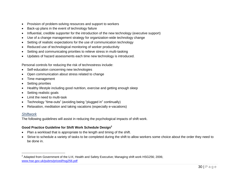- Provision of problem-solving resources and support to workers
- Back-up plans in the event of technology failure
- Influential, credible supporter for the introduction of the new technology (executive support)
- Use of a change management strategy for organization-wide technology change
- Setting of realistic expectations for the use of communication technology
- Reduced use of technological monitoring of worker productivity
- Setting and communicating priorities to relieve stress in multi-tasking
- Updates of hazard assessments each time new technology is introduced.

Personal controls for reducing the risk of technostress include:

- Self-education concerning new technologies
- Open communication about stress related to change
- Time management
- Setting priorities
- Healthy lifestyle including good nutrition, exercise and getting enough sleep
- Setting realistic goals
- Limit the need to multi-task
- Technology "time-outs" (avoiding being "plugged in" continually)
- Relaxation, meditation and taking vacations (especially e-vacations)

# *Shiftwork*

The following guidelines will assist in reducing the psychological impacts of shift work.

# **Good Practice Guideline for Shift Work Schedule Design<sup>2</sup>**

- Plan a workload that is appropriate to the length and timing of the shift.
- Strive to schedule a variety of tasks to be completed during the shift to allow workers some choice about the order they need to be done in.

<sup>&</sup>lt;sup>2</sup> Adapted from Government of the U.K; Health and Safety Executive; Managing shift work HSG256; 2006; [www.hse.gov.uk/pubns/priced/hsg256.pdf](http://www.hse.gov.uk/pubns/priced/hsg256.pdf)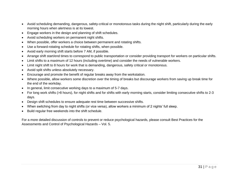- Avoid scheduling demanding, dangerous, safety-critical or monotonous tasks during the night shift, particularly during the early morning hours when alertness is at its lowest.
- Engage workers in the design and planning of shift schedules.
- Avoid scheduling workers on permanent night shifts.
- When possible, offer workers a choice between permanent and rotating shifts.
- Use a forward-rotating schedule for rotating shifts, when possible.
- Avoid early morning shift starts before 7 AM, if possible.
- Arrange shift start/end times to correspond to public transportation or consider providing transport for workers on particular shifts.
- Limit shifts to a maximum of 12 hours (including overtime) and consider the needs of vulnerable workers.
- Limit night shift to 8 hours for work that is demanding, dangerous, safety critical or monotonous.
- Avoid split shifts unless absolutely necessary.
- Encourage and promote the benefit of regular breaks away from the workstation.
- Where possible, allow workers some discretion over the timing of breaks but discourage workers from saving up break time for the end of the workday.
- In general, limit consecutive working days to a maximum of 5-7 days.
- For long work shifts (>8 hours), for night shifts and for shifts with early morning starts, consider limiting consecutive shifts to 2-3 days.
- Design shift schedules to ensure adequate rest time between successive shifts.
- When switching from day to night shifts (or vice versa), allow workers a minimum of 2 nights' full sleep.
- Build regular free weekends into the shift schedule.

For a more detailed discussion of controls to prevent or reduce psychological hazards, please consult Best Practices for the Assessments and Control of Psychological Hazards – Vol. 5.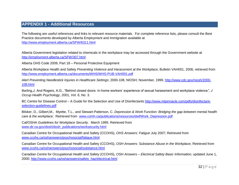# **APPENDIX 1 - Additional Resources**

The following are useful references and links to relevant resource materials. For complete reference lists, please consult the Best Practice documents developed by Alberta Employment and Immigration available at <http://www.employment.alberta.ca/SFW/6311.html>

Alberta Government legislation related to chemicals in the workplace may be accessed through the Government website at <http://employment.alberta.ca/SFW/307.html>

Alberta OHS Code 2009, Part 18 – Personal Protective Equipment

Alberta Workplace Health and Safety *Preventing Violence and Harassment at the Workplace*, Bulletin VAH001, 2006, retrieved from <http://www.employment.alberta.ca/documents/WHS/WHS-PUB-VAH001.pdf>

*Alert Preventing Needlestick Injuries in Healthcare Settings*; 2000-108, NIOSH; November, 1999. [http://www.cdc.gov/niosh/2000-](http://www.cdc.gov/niosh/2000-108.html) [108.html](http://www.cdc.gov/niosh/2000-108.html)

Barling,J. And Rogers, A.G., "Behind closed doors: in-home workers' experience of sexual harassment and workplace violence*", J Occup Health Psychology*, 2001, *Vol. 6*, No. 3.

BC Centre for Disease Control – A Guide for the Selection and Use of Disinfectants [http://www.mtpinnacle.com/pdfs/disinfectant](http://www.mtpinnacle.com/pdfs/disinfectant-selection-guidelines.pdf)[selection-guidelines.pdf](http://www.mtpinnacle.com/pdfs/disinfectant-selection-guidelines.pdf)

Bilsker, D., Gilbert,M., Myette, T.L., and Stewart-Patterson, C. *Depression & Work Function: Bridging the gap between mental health care & the workplace;* Retrieved from [www.comh.ca/publications/resources/dwf/Work\\_Depression.pdf](http://www.comh.ca/publications/resources/dwf/Work_Depression.pdf)

Cal/OSHA *Guidelines for Workplace Security*. March 1995. Retrieved from [www.dir.ca.gov/dosh/dosh\\_publications/worksecurity.html](http://www.dir.ca.gov/dosh/dosh_publications/worksecurity.html)

Canadian Centre for Occupational Health and Safety (CCOHS), *OHS Answers: Fatigue* July 2007; Retrieved from [www.ccohs.ca/oshanswers/psychosocial/fatigue.html](http://www.ccohs.ca/oshanswers/psychosocial/fatigue.html)

Canadian Centre for Occupational Health and Safety (CCOHS), *OSH Answers: Substance Abuse in the Workplace*, Retrieved from [www.ccohs.ca/oshanswers/psychosocial/substance.html](http://www.ccohs.ca/oshanswers/psychosocial/substance.html)

Canadian Centre for Occupational Health and Safety (CCOHS), *OSH Answers – Electrical Safety Basic Information;* updated June 1, 2000; [http://www.ccohs.ca/oshanswers/safety\\_haz/electrical.html](http://www.ccohs.ca/oshanswers/safety_haz/electrical.html)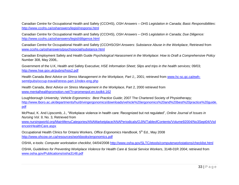Canadian Centre for Occupational Health and Safety (CCOHS), *OSH Answers – OHS Legislation in Canada; Basic Responsibilities*: <http://www.ccohs.ca/oshanswers/legisl/responsi.html>

Canadian Centre for Occupational Health and Safety (CCOHS), *OSH Answers – OHS Legislation in Canada; Due Diligence:* <http://www.ccohs.ca/oshanswers/legisl/diligence.html>

Canadian Centre for Occupational Health and Safety (CCOHS*OSH Answers: Substance Abuse in the Workplace*, Retrieved from [www.ccohs.ca/oshanswers/psychosocial/substance.html](http://www.ccohs.ca/oshanswers/psychosocial/substance.html)

Canadian Employment Safety and Health Guide *Psychological Harassment in the Workplace: How to Draft a Comprehensive Policy* Number 308, May 2006,.

Government of the U.K, Health and Safety Executive; *HSE Information Sheet; Slips and trips in the health services;* 09/03; <http://www.hse.gov.uk/pubns/hsis2.pdf>

Health Canada *Best Advice on Stress Management in the Workplace, Part 1*;, 2001; retrieved from [www.hc-sc.gc.ca/ewh](http://www.hc-sc.gc.ca/ewh-semt/pubs/occup-travail/stress-part-1/index-eng.php)[semt/pubs/occup-travail/stress-part-1/index-eng.php](http://www.hc-sc.gc.ca/ewh-semt/pubs/occup-travail/stress-part-1/index-eng.php)

Health Canada, *Best Advice on Stress Management in the Workplace*, Part 2, 2000 retrieved from [www.mentalhealthpromotion.net/?i=promenpol.en.toolkit.162](http://www.mentalhealthpromotion.net/?i=promenpol.en.toolkit.162)

Loughborough University; *Vehicle Ergonomics: Best Practice Guide*; 2007 The Chartered Society of Physiotherapy; [http://www.lboro.ac.uk/departments/hu/drivingergonomics/downloads/vehicle%20ergonomics%20and%20best%20practice%20guide.](http://www.lboro.ac.uk/departments/hu/drivingergonomics/downloads/vehicle%20ergonomics%20and%20best%20practice%20guide.pdf) [pdf](http://www.lboro.ac.uk/departments/hu/drivingergonomics/downloads/vehicle%20ergonomics%20and%20best%20practice%20guide.pdf)

McPhaul, K. And Lipscomb, J., "Workplace violence in health care: Recognized but not regulated", *Online Journal of Issues in Nursing Vol. 9,* No. 3, Retrieved from

[www.nursingworld.org/MainMenuCategories/ANAMarketplace/ANAPeriodicals/OJIN/TableofContents/Volume92004/No3Sept04/Viol](http://www.nursingworld.org/MainMenuCategories/ANAMarketplace/ANAPeriodicals/OJIN/TableofContents/Volume92004/No3Sept04/ViolenceinHealthCare.aspx) [enceinHealthCare.aspx](http://www.nursingworld.org/MainMenuCategories/ANAMarketplace/ANAPeriodicals/OJIN/TableofContents/Volume92004/No3Sept04/ViolenceinHealthCare.aspx)

Occupational Health Clinics for Ontario Workers, Office Ergonomics Handbook, 5<sup>th</sup> Ed., May 2008 <http://www.ohcow.on.ca/resources/workbooks/ergonomics.pdf>

OSHA, e-tools: *Computer workstation checklist*, 04/04/2008<http://www.osha.gov/SLTC/etools/computerworkstations/checklist.html>

OSHA, *Guidelines for Preventing Workplace Violence for Health Care & Social Service Workers*, 3148-01R 2004; retrieved from [www.osha.gov/Publications/osha3148.pdf](http://www.osha.gov/Publications/osha3148.pdf)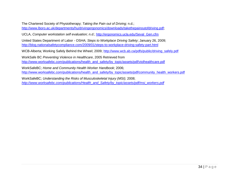The Chartered Society of Physiotherapy; *Taking the Pain out of Driving;* n.d.; [http://www.lboro.ac.uk/departments/hu/drivingergonomics/downloads/takethepainoutofdriving.pdf;](http://www.lboro.ac.uk/departments/hu/drivingergonomics/downloads/takethepainoutofdriving.pdf)

UCLA, *Computer workstation self evaluation; n.d.*; [http://ergonomics.ucla.edu/Seval\\_Gen.cfm](http://ergonomics.ucla.edu/Seval_Gen.cfm)

United States Department of Labor - OSHA; *Steps to Workplace Driving Safety*; January 26, 2009; <http://blog.nationalsafetycompliance.com/2009/01/steps-to-workplace-driving-safety-part.html>

WCB-Alberta; Working Safely Behind the Wheel; 2009; [http://www.wcb.ab.ca/pdfs/public/driving\\_safely.pdf](http://www.wcb.ab.ca/pdfs/public/driving_safely.pdf)

WorkSafe BC *Preventing Violence in Healthcare*, 2005 Retrieved from [http://www.worksafebc.com/publications/health\\_and\\_safety/by\\_topic/assets/pdf/violhealthcare.pdf](http://www.worksafebc.com/publications/health_and_safety/by_topic/assets/pdf/violhealthcare.pdf)

WorkSafeBC; *Home and Community Health Worker Handbook*; 2006; [http://www.worksafebc.com/publications/health\\_and\\_safety/by\\_topic/assets/pdf/community\\_health\\_workers.pdf](http://www.worksafebc.com/publications/health_and_safety/by_topic/assets/pdf/community_health_workers.pdf)

WorkSafeBC; *Understanding the Risks of Musculoskeletal Injury (MSI);* 2008; *[http://www.worksafebc.com/publications/Health\\_and\\_Safety/by\\_topic/assets/pdf/msi\\_workers.pdf](http://www.worksafebc.com/publications/Health_and_Safety/by_topic/assets/pdf/msi_workers.pdf)*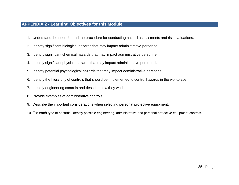# **APPENDIX 2 - Learning Objectives for this Module**

- 1. Understand the need for and the procedure for conducting hazard assessments and risk evaluations.
- 2. Identify significant biological hazards that may impact administrative personnel.
- 3. Identify significant chemical hazards that may impact administrative personnel.
- 4. Identify significant physical hazards that may impact administrative personnel.
- 5. Identify potential psychological hazards that may impact administrative personnel.
- 6. Identify the hierarchy of controls that should be implemented to control hazards in the workplace.
- 7. Identify engineering controls and describe how they work.
- 8. Provide examples of administrative controls.
- 9. Describe the important considerations when selecting personal protective equipment.
- 10. For each type of hazards, identify possible engineering, administrative and personal protective equipment controls.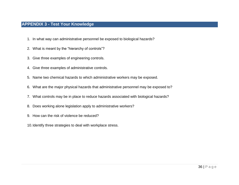# **APPENDIX 3 - Test Your Knowledge**

- 1. In what way can administrative personnel be exposed to biological hazards?
- 2. What is meant by the "hierarchy of controls"?
- 3. Give three examples of engineering controls.
- 4. Give three examples of administrative controls.
- 5. Name two chemical hazards to which administrative workers may be exposed.
- 6. What are the major physical hazards that administrative personnel may be exposed to?
- 7. What controls may be in place to reduce hazards associated with biological hazards?
- 8. Does working alone legislation apply to administrative workers?
- 9. How can the risk of violence be reduced?
- 10.Identify three strategies to deal with workplace stress.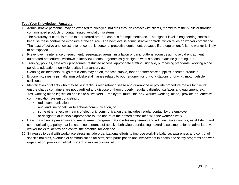#### **Test Your Knowledge - Answers**

- 1. Administrative personnel may be exposed to biological hazards through contact with clients, members of the public or through contaminated products or contaminated ventilation systems.
- 2. The hierarchy of controls refers to a preferred order of controls for implementation. The highest level is engineering controls, because these control the exposure at the source. The next level is administrative controls, which relies on worker compliance. The least effective and lowest level of control is personal protective equipment, because if the equipment fails the worker is likely to be exposed.
- 3. Preventive maintenance of equipment, segregated areas, installation of panic buttons, room design to avoid entrapment, automated procedures, windows in interview rooms, ergonomically designed work stations, machine guarding, etc.
- 4. Training, policies, safe work procedures, restricted access, appropriate staffing, signage, purchasing standards, working alone policies, education, non-violent crisis intervention, etc.
- 5. Cleaning disinfectants, drugs that clients may be on, tobacco smoke, toner or other office supplies, scented products
- 6. Ergonomic, slips, trips, falls, musculoskeletal injuries related to poor ergonomics of work stations or driving, motor vehicle collisions
- 7. Identification of clients who may have infectious respiratory disease and quarantine or provide procedure masks for clients; ensure sharps containers are not overfilled and dispose of them properly; regularly disinfect surfaces and equipment, etc.
- 8. Yes, working alone legislation applies to all workers. Employers must, for any worker working alone, provide an effective communication system consisting of
	- o radio communication,
	- o and land line or cellular telephone communication, or
	- $\circ$  some other effective means of electronic communication that includes regular contact by the employer or designate at intervals appropriate to the nature of the hazard associated with the worker's work.
- 9. Having a violence prevention and management program that includes engineering and administrative controls; establishing and communicating a policy that indicates no tolerance of abusive behaviour; conducting hazard assessments for all administrative worker tasks to identify and control the potential for violence.
- 10. Strategies to deal with workplace stress include organizational efforts to improve work-life balance, awareness and control of specific hazards, avenues of communication for staff, staff participation and involvement in health and safety programs and work organization, providing critical incident stress responses, etc.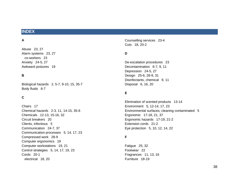# **INDEX**

#### **A**

Abuse 23, 27 Alarm systems 23, 27 co-workers 23 Anxiety 24-5, 27 Awkward postures 19

#### **B**

Biological hazards 2, 5-7, 9-10, 15, 35-7 Body fluids 6-7

## **C**

Chairs 17 Chemical hazards 2-3, 11, 14-15, 35-6 Chemicals 12-13, 15-16, 32 Circuit breakers 20 Clients, infectious 5 Communication 24-7, 37 Communication processes 5, 14, 17, 23 Compressed work 28-9 Computer ergonomics 19 Computer workstations 19, 21 Control strategies 5, 14, 17, 19, 23 Cords 20-1 electrical 18, 20

Counselling services 23-4 Cuts 18, 20-2

#### **D**

De-escalation procedures 23 Decontamination 6-7, 9, 11 Depression 24-5, 27 Design 25-6, 28-9, 31 Disinfectants, chemical 9, 11 Disposal 6, 16, 20

#### **E**

Elimination of scented products 13-14 Environment 5, 12-14, 17, 23 Environmental surfaces, cleaning contaminated 5 Ergonomic 17-18, 21, 37 Ergonomic hazards 17-19, 21-2 Extension cords 21-2 Eye protection 5, 10, 12, 14, 22

#### **F**

Fatigue 25, 32 Footwear 22 Fragrances 11, 13, 16 Furniture 18-19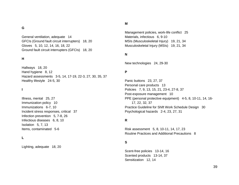#### **G**

General ventilation, adequate 14 GFCIs (Ground fault circuit interrupters) 18, 20 Gloves 5, 10, 12, 14, 16, 18, 22 Ground fault circuit interrupters (GFCIs) 18, 20

#### **H**

Hallways 18, 20 Hand hygiene 8, 12 Hazard assessments 3-5, 14, 17-19, 22-3, 27, 30, 35, 37 Healthy lifestyle 24-5, 30

#### **I**

Illness, mental 25, 27 Immunization policy 10 Immunizations 6-7, 10 Incident stress responses, critical 37 Infection prevention 5, 7-8, 26 Infectious diseases 6, 8, 10 Isolation 5, 7, 13 Items, contaminated 5-6

#### **L**

Lighting, adequate 18, 20

#### **M**

Management policies, work-life conflict 25 Materials, infectious 6, 9-10 MSIs (Musculoskeletal Injury) 19, 21, 34 Musculoskeletal Injury (MSIs) 19, 21, 34

#### **N**

New technologies 24, 29-30

#### **P**

Panic buttons 23, 27, 37 Personal care products 13 Policies 7, 9, 13, 15, 21, 23-4, 27-8, 37 Post-exposure management 10 PPE (personal protective equipment) 4-5, 8, 10-11, 14, 16- 17, 22, 32, 37 Practice Guideline for Shift Work Schedule Design 30 Psychological hazards 2-4, 23, 27, 31

#### **R**

Risk assessment 5, 8, 10-11, 14, 17, 23 Routine Practices and Additional Precautions 8

#### **S**

Scent-free policies 13-14, 16 Scented products 13-14, 37 Sensitization 12, 14